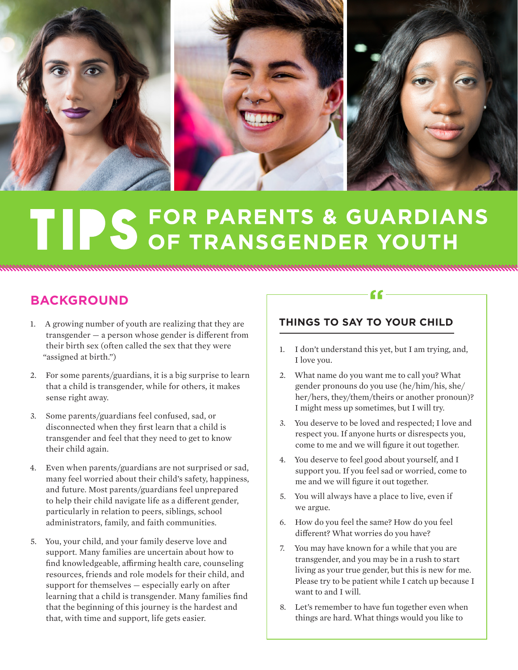

# TIPS FOR PARENTS & GUARDIANS

# **BACKGROUND**

- 1. A growing number of youth are realizing that they are transgender — a person whose gender is different from their birth sex (often called the sex that they were "assigned at birth.")
- 2. For some parents/guardians, it is a big surprise to learn that a child is transgender, while for others, it makes sense right away.
- 3. Some parents/guardians feel confused, sad, or disconnected when they first learn that a child is transgender and feel that they need to get to know their child again.
- 4. Even when parents/guardians are not surprised or sad, many feel worried about their child's safety, happiness, and future. Most parents/guardians feel unprepared to help their child navigate life as a different gender, particularly in relation to peers, siblings, school administrators, family, and faith communities.
- 5. You, your child, and your family deserve love and support. Many families are uncertain about how to find knowledgeable, affirming health care, counseling resources, friends and role models for their child, and support for themselves — especially early on after learning that a child is transgender. Many families find that the beginning of this journey is the hardest and that, with time and support, life gets easier.

## **THINGS TO SAY TO YOUR CHILD**

1. I don't understand this yet, but I am trying, and, I love you.

 $66-$ 

- 2. What name do you want me to call you? What gender pronouns do you use (he/him/his, she/ her/hers, they/them/theirs or another pronoun)? I might mess up sometimes, but I will try.
- 3. You deserve to be loved and respected; I love and respect you. If anyone hurts or disrespects you, come to me and we will figure it out together.
- 4. You deserve to feel good about yourself, and I support you. If you feel sad or worried, come to me and we will figure it out together.
- 5. You will always have a place to live, even if we argue.
- 6. How do you feel the same? How do you feel different? What worries do you have?
- 7. You may have known for a while that you are transgender, and you may be in a rush to start living as your true gender, but this is new for me. Please try to be patient while I catch up because I want to and I will.
- 8. Let's remember to have fun together even when things are hard. What things would you like to